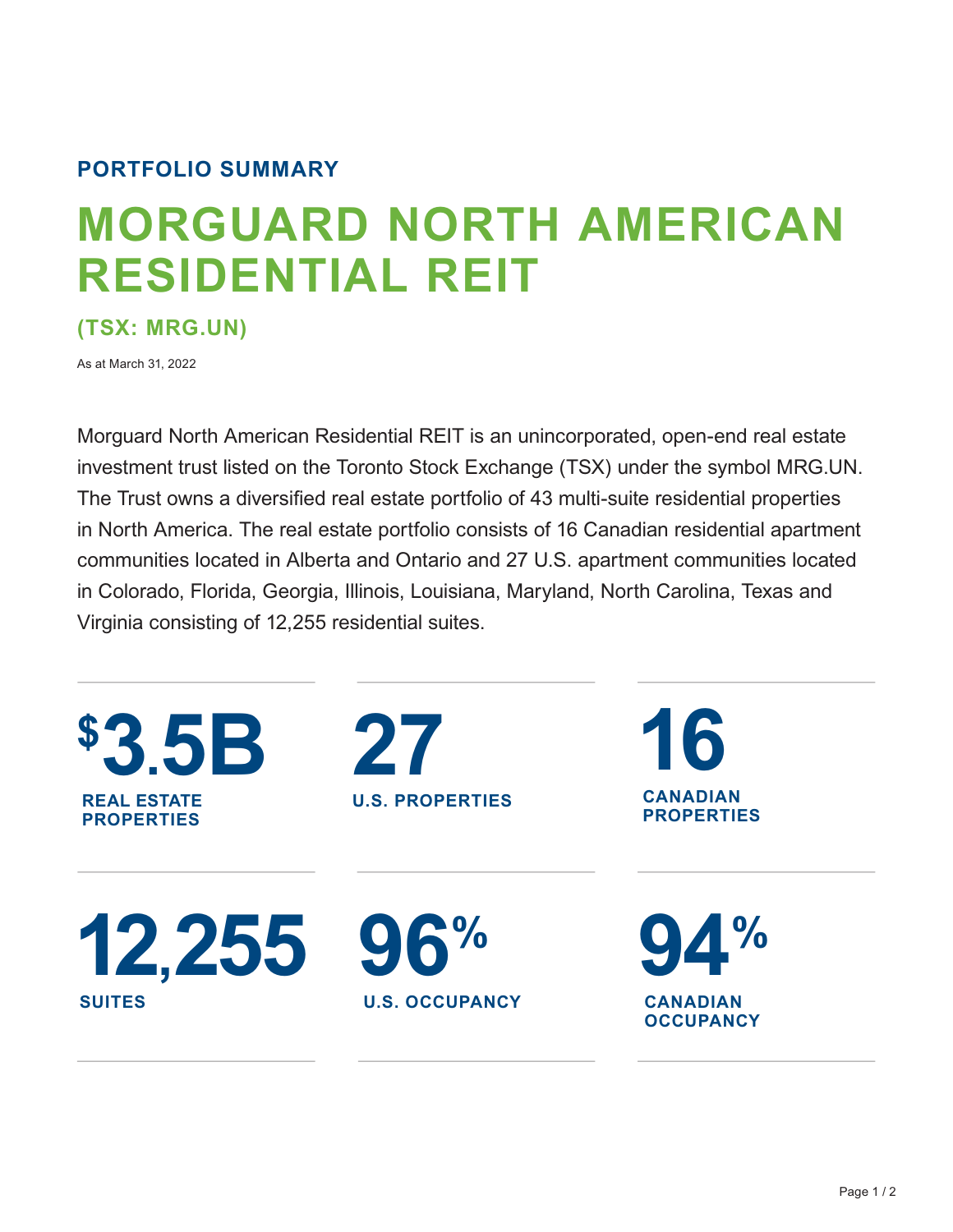## **PORTFOLIO SUMMARY**

# **MORGUARD NORTH AMERICAN RESIDENTIAL REIT**

**(TSX: MRG.UN)** 

As at March 31, 2022

Morguard North American Residential REIT is an unincorporated, open-end real estate investment trust listed on the Toronto Stock Exchange (TSX) under the symbol MRG.UN. The Trust owns a diversified real estate portfolio of 43 multi-suite residential properties in North America. The real estate portfolio consists of 16 Canadian residential apartment communities located in Alberta and Ontario and 27 U.S. apartment communities located in Colorado, Florida, Georgia, Illinois, Louisiana, Maryland, North Carolina, Texas and Virginia consisting of 12,255 residential suites.